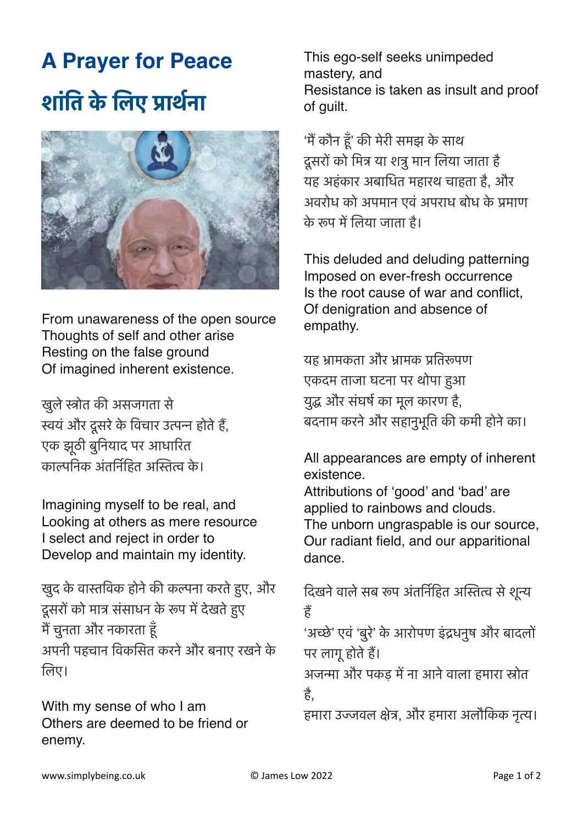## **A Prayer for Peace शांति के लिए प्रार्थना**



From unawareness of the open source Thoughts of self and other arise Resting on the false ground Of imagined inherent existence.

खुलेस्त्रोत की असजगता से स्वयंऔर दूसरेके विचार उत्पन्न होतेहैं, एक झूठी बुनियाद पर आधारित काल्पनिक अंतर्निहित अस्तित्व के ।

Imagining myself to be real, and Looking at others as mere resource I select and reject in order to Develop and maintain my identity.

खुद के वास्तविक होने की कल्पना करते हुए, और दूसरों को मात्र संसाधन के रूप मेंदेखतेहुए मैंचुनता और नकारता हूँ अपनी पहचान विकसित करनेऔर बनाए रखनेके लिए।

With my sense of who I am Others are deemed to be friend or enemy.

This ego-self seeks unimpeded mastery, and Resistance is taken as insult and proof of guilt.

'मैंकौन हूँ' की मेरी समझ के साथ दूसरों को मित्र या शत्रु मान लिया जाता है यह अहंकार अबाधित महारथ चाहता है, और अवरोध को अपमान एवं अपराध बोध के प्रमाण के रूप में लिया जाता है।

This deluded and deluding patterning Imposed on ever-fresh occurrence Is the root cause of war and conflict, Of denigration and absence of empathy.

यह भ्रामकता और भ्रामक प्रतिरूपण एकदम ताजा घटना पर थोपा हुआ युद्ध और संघर्ष का मूल कारण है, बदनाम करनेऔर सहानुभूति की कमी होनेका।

All appearances are empty of inherent existence.

Attributions of 'good' and 'bad' are applied to rainbows and clouds. The unborn ungraspable is our source, Our radiant field, and our apparitional dance.

दिखने वाले सब रूप अंतर्निहित अस्तित्व से शून्य हैं

'अच्छे' एवं 'बुरे' के आरोपण इंद्रधनुष और बादलों पर लागूहोतेहैं।

अजन्मा और पकड़ मेंना आनेवाला हमारा स्रोत है,

हमारा उज्जवल क्षेत्र, और हमारा अलौकिक नृत्य।